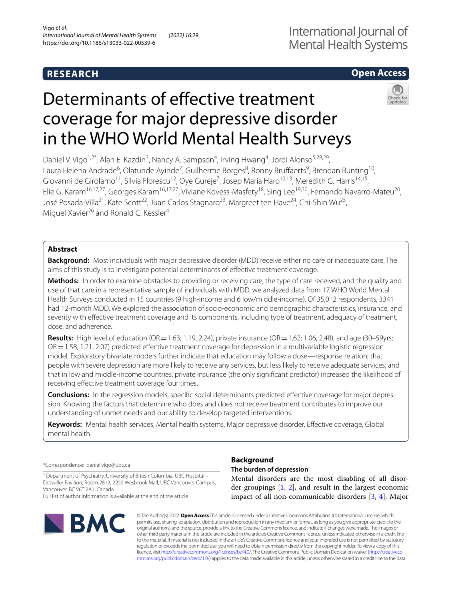# **Open Access**

# Determinants of effective treatment coverage for major depressive disorder in the WHO World Mental Health Surveys



Daniel V. Vigo<sup>1,2\*</sup>, Alan E. Kazdin<sup>3</sup>, Nancy A. Sampson<sup>4</sup>, Irving Hwang<sup>4</sup>, Jordi Alonso<sup>5,28,29</sup>, Laura Helena Andrade<sup>6</sup>, Olatunde Ayinde<sup>7</sup>, Guilherme Borges<sup>8</sup>, Ronny Bruffaerts<sup>9</sup>, Brendan Bunting<sup>10</sup>, Giovanni de Girolamo<sup>11</sup>, Silvia Florescu<sup>12</sup>, Oye Gureje<sup>7</sup>, Josep Maria Haro<sup>12,13</sup>, Meredith G. Harris<sup>14,15</sup>, Elie G. Karam<sup>16,17,27</sup>, Georges Karam<sup>16,17,27</sup>, Viviane Kovess-Masfety<sup>18</sup>, Sing Lee<sup>19,30</sup>, Fernando Navarro-Mateu<sup>20</sup>, José Posada-Villa<sup>21</sup>, Kate Scott<sup>22</sup>, Juan Carlos Stagnaro<sup>23</sup>, Margreet ten Have<sup>24</sup>, Chi-Shin Wu<sup>25</sup>, Miguel Xavier<sup>26</sup> and Ronald C. Kessler<sup>4</sup>

# **Abstract**

**Background:** Most individuals with major depressive disorder (MDD) receive either no care or inadequate care. The aims of this study is to investigate potential determinants of efective treatment coverage.

**Methods:** In order to examine obstacles to providing or receiving care, the type of care received, and the quality and use of that care in a representative sample of individuals with MDD, we analyzed data from 17 WHO World Mental Health Surveys conducted in 15 countries (9 high-income and 6 low/middle-income). Of 35,012 respondents, 3341 had 12-month MDD. We explored the association of socio-economic and demographic characteristics, insurance, and severity with efective treatment coverage and its components, including type of treatment, adequacy of treatment, dose, and adherence.

**Results:** High level of education ( $OR = 1.63$ ; 1.19, 2.24), private insurance ( $OR = 1.62$ ; 1.06, 2.48), and age (30–59yrs; OR=1.58; 1.21, 2.07) predicted efective treatment coverage for depression in a multivariable logistic regression model. Exploratory bivariate models further indicate that education may follow a dose—response relation; that people with severe depression are more likely to receive any services, but less likely to receive adequate services; and that in low and middle-income countries, private insurance (the only signifcant predictor) increased the likelihood of receiving efective treatment coverage four times.

**Conclusions:** In the regression models, specifc social determinants predicted efective coverage for major depres‑ sion. Knowing the factors that determine who does and does not receive treatment contributes to improve our understanding of unmet needs and our ability to develop targeted interventions.

**Keywords:** Mental health services, Mental health systems, Major depressive disorder, Efective coverage, Global mental health

\*Correspondence: daniel.vigo@ubc.ca

<sup>1</sup> Department of Psychiatry, University of British Columbia, UBC Hospital -Detwiller Pavilion, Room 2813, 2255 Wesbrook Mall, UBC Vancouver Campus, Vancouver, BC V6T 2A1, Canada Full list of author information is available at the end of the article

**IBMC** 

# **Background**

**The burden of depression**

Mental disorders are the most disabling of all disorder groupings [[1](#page-10-0), [2](#page-10-1)], and result in the largest economic impact of all non-communicable disorders [\[3](#page-10-2), [4\]](#page-10-3). Major

© The Author(s) 2022. **Open Access** This article is licensed under a Creative Commons Attribution 4.0 International License, which permits use, sharing, adaptation, distribution and reproduction in any medium or format, as long as you give appropriate credit to the original author(s) and the source, provide a link to the Creative Commons licence, and indicate if changes were made. The images or other third party material in this article are included in the article's Creative Commons licence, unless indicated otherwise in a credit line to the material. If material is not included in the article's Creative Commons licence and your intended use is not permitted by statutory regulation or exceeds the permitted use, you will need to obtain permission directly from the copyright holder. To view a copy of this licence, visit [http://creativecommons.org/licenses/by/4.0/.](http://creativecommons.org/licenses/by/4.0/) The Creative Commons Public Domain Dedication waiver ([http://creativeco](http://creativecommons.org/publicdomain/zero/1.0/) [mmons.org/publicdomain/zero/1.0/](http://creativecommons.org/publicdomain/zero/1.0/)) applies to the data made available in this article, unless otherwise stated in a credit line to the data.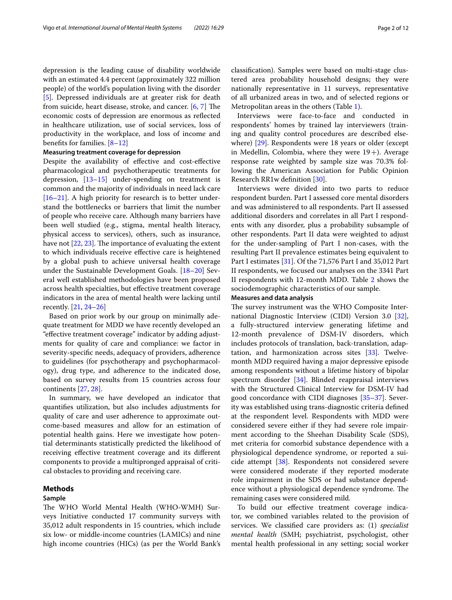depression is the leading cause of disability worldwide with an estimated 4.4 percent (approximately 322 million people) of the world's population living with the disorder [[5\]](#page-10-4). Depressed individuals are at greater risk for death from suicide, heart disease, stroke, and cancer.  $[6, 7]$  $[6, 7]$  $[6, 7]$  $[6, 7]$  The economic costs of depression are enormous as refected in healthcare utilization, use of social services, loss of productivity in the workplace, and loss of income and benefts for families. [\[8](#page-10-7)–[12\]](#page-10-8)

#### **Measuring treatment coverage for depression**

Despite the availability of efective and cost-efective pharmacological and psychotherapeutic treatments for depression, [[13–](#page-10-9)[15](#page-10-10)] under-spending on treatment is common and the majority of individuals in need lack care [[16–](#page-10-11)[21](#page-10-12)]. A high priority for research is to better understand the bottlenecks or barriers that limit the number of people who receive care. Although many barriers have been well studied (e.g., stigma, mental health literacy, physical access to services), others, such as insurance, have not  $[22, 23]$  $[22, 23]$  $[22, 23]$ . The importance of evaluating the extent to which individuals receive efective care is heightened by a global push to achieve universal health coverage under the Sustainable Development Goals. [[18](#page-10-15)[–20](#page-10-16)] Several well established methodologies have been proposed across health specialties, but efective treatment coverage indicators in the area of mental health were lacking until recently. [[21](#page-10-12), [24–](#page-10-17)[26\]](#page-10-18)

Based on prior work by our group on minimally adequate treatment for MDD we have recently developed an "effective treatment coverage" indicator by adding adjustments for quality of care and compliance: we factor in severity-specifc needs, adequacy of providers, adherence to guidelines (for psychotherapy and psychopharmacology), drug type, and adherence to the indicated dose, based on survey results from 15 countries across four continents [\[27](#page-10-19), [28\]](#page-10-20).

In summary, we have developed an indicator that quantifes utilization, but also includes adjustments for quality of care and user adherence to approximate outcome-based measures and allow for an estimation of potential health gains. Here we investigate how potential determinants statistically predicted the likelihood of receiving efective treatment coverage and its diferent components to provide a multipronged appraisal of critical obstacles to providing and receiving care.

## **Methods**

#### **Sample**

The WHO World Mental Health (WHO-WMH) Surveys Initiative conducted 17 community surveys with 35,012 adult respondents in 15 countries, which include six low- or middle-income countries (LAMICs) and nine high income countries (HICs) (as per the World Bank's classifcation). Samples were based on multi-stage clustered area probability household designs; they were nationally representative in 11 surveys, representative of all urbanized areas in two, and of selected regions or Metropolitan areas in the others (Table [1\)](#page-2-0).

Interviews were face-to-face and conducted in respondents' homes by trained lay interviewers (training and quality control procedures are described elsewhere) [\[29\]](#page-10-21). Respondents were 18 years or older (except in Medellin, Colombia, where they were  $19+$ ). Average response rate weighted by sample size was 70.3% following the American Association for Public Opinion Research RR1w defnition [[30](#page-10-22)].

Interviews were divided into two parts to reduce respondent burden. Part I assessed core mental disorders and was administered to all respondents. Part II assessed additional disorders and correlates in all Part I respondents with any disorder, plus a probability subsample of other respondents. Part II data were weighted to adjust for the under-sampling of Part I non-cases, with the resulting Part II prevalence estimates being equivalent to Part I estimates [[31\]](#page-10-23). Of the 71,576 Part I and 35,012 Part II respondents, we focused our analyses on the 3341 Part II respondents with 12-month MDD. Table [2](#page-3-0) shows the sociodemographic characteristics of our sample.

#### **Measures and data analysis**

The survey instrument was the WHO Composite International Diagnostic Interview (CIDI) Version 3.0 [\[32](#page-10-24)], a fully-structured interview generating lifetime and 12-month prevalence of DSM-IV disorders, which includes protocols of translation, back-translation, adaptation, and harmonization across sites [[33\]](#page-10-25). Twelvemonth MDD required having a major depressive episode among respondents without a lifetime history of bipolar spectrum disorder [\[34](#page-10-26)]. Blinded reappraisal interviews with the Structured Clinical Interview for DSM-IV had good concordance with CIDI diagnoses [\[35–](#page-10-27)[37\]](#page-11-0). Severity was established using trans-diagnostic criteria defned at the respondent level. Respondents with MDD were considered severe either if they had severe role impairment according to the Sheehan Disability Scale (SDS), met criteria for comorbid substance dependence with a physiological dependence syndrome, or reported a suicide attempt [[38](#page-11-1)]. Respondents not considered severe were considered moderate if they reported moderate role impairment in the SDS or had substance dependence without a physiological dependence syndrome. The remaining cases were considered mild.

To build our efective treatment coverage indicator, we combined variables related to the provision of services. We classifed care providers as: (1) *specialist mental health* (SMH; psychiatrist, psychologist, other mental health professional in any setting; social worker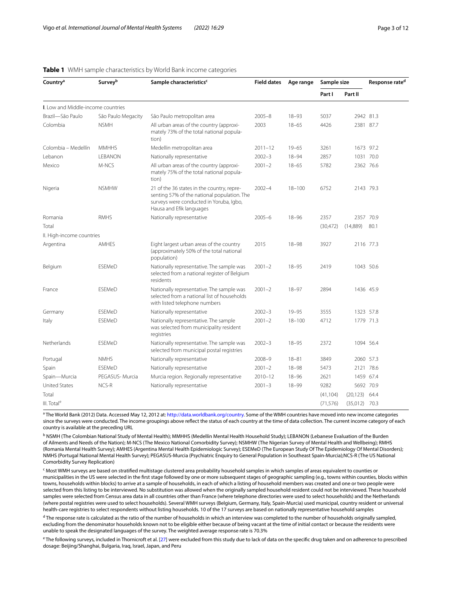| Country <sup>a</sup>               | Surveyb            | Sample characteristics <sup>c</sup>                                                                                                                              | <b>Field dates</b> | Age range  | Sample size |                  | Response rate <sup>d</sup> |
|------------------------------------|--------------------|------------------------------------------------------------------------------------------------------------------------------------------------------------------|--------------------|------------|-------------|------------------|----------------------------|
|                                    |                    |                                                                                                                                                                  |                    |            | Part I      | Part II          |                            |
| I. Low and Middle-income countries |                    |                                                                                                                                                                  |                    |            |             |                  |                            |
| Brazil-São Paulo                   | São Paulo Megacity | São Paulo metropolitan area                                                                                                                                      | $2005 - 8$         | $18 - 93$  | 5037        |                  | 2942 81.3                  |
| Colombia                           | <b>NSMH</b>        | All urban areas of the country (approxi-<br>mately 73% of the total national popula-<br>tion)                                                                    | 2003               | $18 - 65$  | 4426        |                  | 2381 87.7                  |
| Colombia - Medellín                | <b>MMHHS</b>       | Medellin metropolitan area                                                                                                                                       | $2011 - 12$        | $19 - 65$  | 3261        |                  | 1673 97.2                  |
| Lebanon                            | <b>LEBANON</b>     | Nationally representative                                                                                                                                        | $2002 - 3$         | $18 - 94$  | 2857        |                  | 1031 70.0                  |
| Mexico                             | M-NCS              | All urban areas of the country (approxi-<br>mately 75% of the total national popula-<br>tion)                                                                    | $2001 - 2$         | $18 - 65$  | 5782        |                  | 2362 76.6                  |
| Nigeria                            | <b>NSMHW</b>       | 21 of the 36 states in the country, repre-<br>senting 57% of the national population. The<br>surveys were conducted in Yoruba, Igbo,<br>Hausa and Efik languages | $2002 - 4$         | $18 - 100$ | 6752        |                  | 2143 79.3                  |
| Romania                            | <b>RMHS</b>        | Nationally representative                                                                                                                                        | $2005 - 6$         | $18 - 96$  | 2357        |                  | 2357 70.9                  |
| Total                              |                    |                                                                                                                                                                  |                    |            | (30, 472)   | (14,889)         | 80.1                       |
| II. High-income countries          |                    |                                                                                                                                                                  |                    |            |             |                  |                            |
| Argentina                          | <b>AMHES</b>       | Eight largest urban areas of the country<br>(approximately 50% of the total national<br>population)                                                              | 2015               | $18 - 98$  | 3927        |                  | 2116 77.3                  |
| Belgium                            | <b>ESEMeD</b>      | Nationally representative. The sample was<br>selected from a national register of Belgium<br>residents                                                           | $2001 - 2$         | $18 - 95$  | 2419        |                  | 1043 50.6                  |
| France                             | <b>ESEMeD</b>      | Nationally representative. The sample was<br>selected from a national list of households<br>with listed telephone numbers                                        | $2001 - 2$         | $18 - 97$  | 2894        |                  | 1436 45.9                  |
| Germany                            | <b>ESEMeD</b>      | Nationally representative                                                                                                                                        | $2002 - 3$         | $19 - 95$  | 3555        |                  | 1323 57.8                  |
| Italy                              | <b>ESEMeD</b>      | Nationally representative. The sample<br>was selected from municipality resident<br>registries                                                                   | $2001 - 2$         | $18 - 100$ | 4712        |                  | 1779 71.3                  |
| Netherlands                        | ESEMeD             | Nationally representative. The sample was<br>selected from municipal postal registries                                                                           | $2002 - 3$         | $18 - 95$  | 2372        |                  | 1094 56.4                  |
| Portugal                           | <b>NMHS</b>        | Nationally representative                                                                                                                                        | $2008 - 9$         | $18 - 81$  | 3849        |                  | 2060 57.3                  |
| Spain                              | <b>ESEMeD</b>      | Nationally representative                                                                                                                                        | $2001 - 2$         | $18 - 98$  | 5473        |                  | 2121 78.6                  |
| Spain-Murcia                       | PEGASUS-Murcia     | Murcia region. Regionally representative                                                                                                                         | $2010 - 12$        | $18 - 96$  | 2621        |                  | 1459 67.4                  |
| <b>United States</b>               | NCS-R              | Nationally representative                                                                                                                                        | $2001 - 3$         | $18 - 99$  | 9282        |                  | 5692 70.9                  |
| Total                              |                    |                                                                                                                                                                  |                    |            | (41, 104)   | $(20, 123)$ 64.4 |                            |
| III. Total <sup>e</sup>            |                    |                                                                                                                                                                  |                    |            | (71, 576)   | $(35,012)$ 70.3  |                            |

#### <span id="page-2-0"></span>**Table 1** WMH sample characteristics by World Bank income categories

<sup>a</sup> The World Bank (2012) Data. Accessed May 12, 2012 at:<http://data.worldbank.org/country>. Some of the WMH countries have moved into new income categories since the surveys were conducted. The income groupings above refect the status of each country at the time of data collection. The current income category of each country is available at the preceding URL

<sup>b</sup> NSMH (The Colombian National Study of Mental Health); MMHHS (Medellín Mental Health Household Study); LEBANON (Lebanese Evaluation of the Burden of Ailments and Needs of the Nation); M-NCS (The Mexico National Comorbidity Survey); NSMHW (The Nigerian Survey of Mental Health and Wellbeing); RMHS (Romania Mental Health Survey); AMHES (Argentina Mental Health Epidemiologic Survey); ESEMeD (The European Study Of The Epidemiology Of Mental Disorders); NMHS (Portugal National Mental Health Survey); PEGASUS-Murcia (Psychiatric Enquiry to General Population in Southeast Spain-Murcia);NCS-R (The US National Comorbidity Survey Replication)

<sup>c</sup> Most WMH surveys are based on stratified multistage clustered area probability household samples in which samples of areas equivalent to counties or municipalities in the US were selected in the frst stage followed by one or more subsequent stages of geographic sampling (e.g., towns within counties, blocks within towns, households within blocks) to arrive at a sample of households, in each of which a listing of household members was created and one or two people were selected from this listing to be interviewed. No substitution was allowed when the originally sampled household resident could not be interviewed. These household samples were selected from Census area data in all countries other than France (where telephone directories were used to select households) and the Netherlands (where postal registries were used to select households). Several WMH surveys (Belgium, Germany, Italy, Spain-Murcia) used municipal, country resident or universal health-care registries to select respondents without listing households. 10 of the 17 surveys are based on nationally representative household samples

<sup>d</sup> The response rate is calculated as the ratio of the number of households in which an interview was completed to the number of households originally sampled, excluding from the denominator households known not to be eligible either because of being vacant at the time of initial contact or because the residents were unable to speak the designated languages of the survey. The weighted average response rate is 70.3%

<sup>e</sup> The following surveys, included in Thornicroft et al. [\[27\]](#page-10-19) were excluded from this study due to lack of data on the specific drug taken and on adherence to prescribed dosage: Beijing/Shanghai, Bulgaria, Iraq, Israel, Japan, and Peru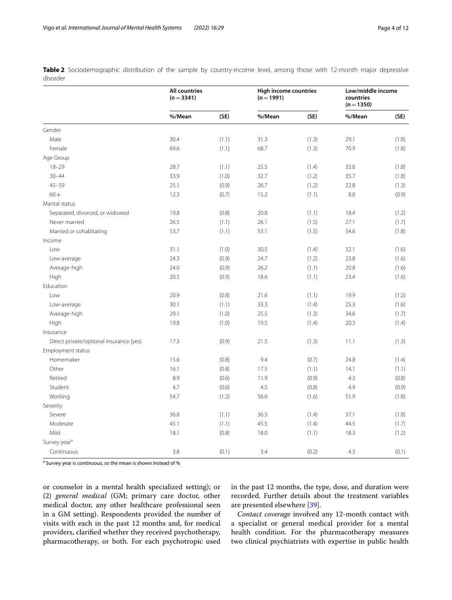|                                         | <b>All countries</b><br>$(n=3341)$ |       | <b>High income countries</b><br>$(n = 1991)$ |       | Low/middle income<br>countries<br>$(n = 1350)$ |       |
|-----------------------------------------|------------------------------------|-------|----------------------------------------------|-------|------------------------------------------------|-------|
|                                         | %/Mean                             | (SE)  | %/Mean                                       | (SE)  | %/Mean                                         | (SE)  |
| Gender                                  |                                    |       |                                              |       |                                                |       |
| Male                                    | 30.4                               | (1.1) | 31.3                                         | (1.3) | 29.1                                           | (1.8) |
| Female                                  | 69.6                               | (1.1) | 68.7                                         | (1.3) | 70.9                                           | (1.8) |
| Age Group                               |                                    |       |                                              |       |                                                |       |
| $18 - 29$                               | 28.7                               | (1.1) | 25.5                                         | (1.4) | 33.6                                           | (1.8) |
| $30 - 44$                               | 33.9                               | (1.0) | 32.7                                         | (1.2) | 35.7                                           | (1.8) |
| $45 - 59$                               | 25.1                               | (0.9) | 26.7                                         | (1.2) | 22.8                                           | (1.3) |
| $60 +$                                  | 12.3                               | (0.7) | 15.2                                         | (1.1) | 8.0                                            | (0.9) |
| Marital status                          |                                    |       |                                              |       |                                                |       |
| Separated, divorced, or widowed         | 19.8                               | (0.8) | 20.8                                         | (1.1) | 18.4                                           | (1.2) |
| Never married                           | 26.5                               | (1.1) | 26.1                                         | (1.5) | 27.1                                           | (1.7) |
| Married or cohabitating                 | 53.7                               | (1.1) | 53.1                                         | (1.5) | 54.6                                           | (1.8) |
| Income                                  |                                    |       |                                              |       |                                                |       |
| Low                                     | 31.1                               | (1.0) | 30.5                                         | (1.4) | 32.1                                           | (1.6) |
| Low-average                             | 24.3                               | (0.9) | 24.7                                         | (1.2) | 23.8                                           | (1.6) |
| Average-high                            | 24.0                               | (0.9) | 26.2                                         | (1.1) | 20.8                                           | (1.6) |
| High                                    | 20.5                               | (0.9) | 18.6                                         | (1.1) | 23.4                                           | (1.6) |
| Education                               |                                    |       |                                              |       |                                                |       |
| Low                                     | 20.9                               | (0.8) | 21.6                                         | (1.1) | 19.9                                           | (1.2) |
| Low-average                             | 30.1                               | (1.1) | 33.3                                         | (1.4) | 25.3                                           | (1.6) |
| Average-high                            | 29.1                               | (1.0) | 25.5                                         | (1.3) | 34.6                                           | (1.7) |
| High                                    | 19.8                               | (1.0) | 19.5                                         | (1.4) | 20.3                                           | (1.4) |
| Insurance                               |                                    |       |                                              |       |                                                |       |
| Direct private/optional insurance (yes) | 17.3                               | (0.9) | 21.5                                         | (1.3) | 11.1                                           | (1.3) |
| Employment status                       |                                    |       |                                              |       |                                                |       |
| Homemaker                               | 15.6                               | (0.8) | 9.4                                          | (0.7) | 24.8                                           | (1.4) |
| Other                                   | 16.1                               | (0.8) | 17.5                                         | (1.1) | 14.1                                           | (1.1) |
| Retired                                 | 8.9                                | (0.6) | 11.9                                         | (0.9) | 4.3                                            | (0.8) |
| Student                                 | 4.7                                | (0.6) | 4.5                                          | (0.8) | 4.9                                            | (0.9) |
| Working                                 | 54.7                               | (1.2) | 56.6                                         | (1.6) | 51.9                                           | (1.8) |
| Severity                                |                                    |       |                                              |       |                                                |       |
| Severe                                  | 36.8                               | (1.1) | 36.5                                         | (1.4) | 37.1                                           | (1.8) |
| Moderate                                | 45.1                               | (1.1) | 45.5                                         | (1.4) | 44.5                                           | (1.7) |
| Mild                                    | 18.1                               | (0.8) | 18.0                                         | (1.1) | 18.3                                           | (1.2) |
| Survey year <sup>a</sup>                |                                    |       |                                              |       |                                                |       |
| Continuous                              | 3.8                                | (0.1) | 3.4                                          | (0.2) | 4.3                                            | (0.1) |

<span id="page-3-0"></span>**Table 2** Sociodemographic distribution of the sample by country-income level, among those with 12-month major depressive disorder

<sup>a</sup> Survey year is continuous, so the mean is shown instead of %

or counselor in a mental health specialized setting); or (2) *general medical* (GM; primary care doctor, other medical doctor, any other healthcare professional seen in a GM setting). Respondents provided the number of visits with each in the past 12 months and, for medical providers, clarifed whether they received psychotherapy, pharmacotherapy, or both. For each psychotropic used

in the past 12 months, the type, dose, and duration were recorded. Further details about the treatment variables are presented elsewhere [\[39\]](#page-11-2).

*Contact coverage* involved any 12-month contact with a specialist or general medical provider for a mental health condition. For the pharmacotherapy measures two clinical psychiatrists with expertise in public health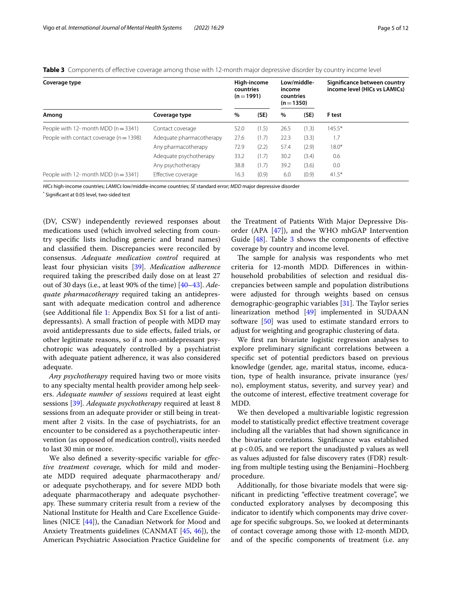<span id="page-4-0"></span>**Table 3** Components of effective coverage among those with 12-month major depressive disorder by country income level

| Coverage type                             |                          | countries<br>$(n=1991)$ | High-income | income<br>countries<br>$(n=1350)$ | Low/middle- | Significance between country<br>income level (HICs vs LAMICs) |
|-------------------------------------------|--------------------------|-------------------------|-------------|-----------------------------------|-------------|---------------------------------------------------------------|
| Among                                     | Coverage type            | $\%$                    | (SE)        | %                                 | (SE)        | F test                                                        |
| People with 12- month MDD $(n = 3341)$    | Contact coverage         | 52.0                    | (1.5)       | 26.5                              | (1.3)       | $145.5*$                                                      |
| People with contact coverage $(n = 1398)$ | Adequate pharmacotherapy | 27.6                    | (1.7)       | 22.3                              | (3.3)       | 1.7                                                           |
|                                           | Any pharmacotherapy      | 72.9                    | (2.2)       | 57.4                              | (2.9)       | $18.0*$                                                       |
|                                           | Adequate psychotherapy   | 33.2                    | (1.7)       | 30.2                              | (3.4)       | 0.6                                                           |
|                                           | Any psychotherapy        | 38.8                    | (1.7)       | 39.2                              | (3.6)       | 0.0                                                           |
| People with 12- month MDD $(n = 3341)$    | Effective coverage       | 16.3                    | (0.9)       | 6.0                               | (0.9)       | $41.5*$                                                       |

*HICs* high-income countries; *LAMICs* low/middle-income countries; *SE* standard error; *MDD* major depressive disorder

\* Signifcant at 0.05 level, two-sided test

(DV, CSW) independently reviewed responses about medications used (which involved selecting from country specifc lists including generic and brand names) and classifed them. Discrepancies were reconciled by consensus. *Adequate medication control* required at least four physician visits [[39\]](#page-11-2). *Medication adherence* required taking the prescribed daily dose on at least 27 out of 30 days (i.e., at least 90% of the time) [[40–](#page-11-3)[43\]](#page-11-4). *Adequate pharmacotherapy* required taking an antidepressant with adequate medication control and adherence (see Additional fle [1:](#page-8-0) Appendix Box S1 for a list of antidepressants). A small fraction of people with MDD may avoid antidepressants due to side efects, failed trials, or other legitimate reasons, so if a non-antidepressant psychotropic was adequately controlled by a psychiatrist with adequate patient adherence, it was also considered adequate.

*Any psychotherapy* required having two or more visits to any specialty mental health provider among help seekers. *Adequate number of sessions* required at least eight sessions [[39\]](#page-11-2). *Adequate psychotherapy* required at least 8 sessions from an adequate provider or still being in treatment after 2 visits. In the case of psychiatrists, for an encounter to be considered as a psychotherapeutic intervention (as opposed of medication control), visits needed to last 30 min or more.

We also defned a severity-specifc variable for *efective treatment coverage,* which for mild and moderate MDD required adequate pharmacotherapy and/ or adequate psychotherapy, and for severe MDD both adequate pharmacotherapy and adequate psychotherapy. These summary criteria result from a review of the National Institute for Health and Care Excellence Guidelines (NICE [\[44\]](#page-11-5)), the Canadian Network for Mood and Anxiety Treatments guidelines (CANMAT [\[45](#page-11-6), [46\]](#page-11-7)), the American Psychiatric Association Practice Guideline for

the Treatment of Patients With Major Depressive Disorder (APA [[47\]](#page-11-8)), and the WHO mhGAP Intervention Guide [[48\]](#page-11-9). Table [3](#page-4-0) shows the components of effective coverage by country and income level.

The sample for analysis was respondents who met criteria for 12-month MDD. Diferences in withinhousehold probabilities of selection and residual discrepancies between sample and population distributions were adjusted for through weights based on census demographic-geographic variables  $[31]$  $[31]$ . The Taylor series linearization method [[49\]](#page-11-10) implemented in SUDAAN software [\[50](#page-11-11)] was used to estimate standard errors to adjust for weighting and geographic clustering of data.

We frst ran bivariate logistic regression analyses to explore preliminary signifcant correlations between a specifc set of potential predictors based on previous knowledge (gender, age, marital status, income, education, type of health insurance, private insurance (yes/ no), employment status, severity, and survey year) and the outcome of interest, efective treatment coverage for MDD.

We then developed a multivariable logistic regression model to statistically predict efective treatment coverage including all the variables that had shown signifcance in the bivariate correlations. Signifcance was established at  $p < 0.05$ , and we report the unadjusted p values as well as values adjusted for false discovery rates (FDR) resulting from multiple testing using the Benjamini–Hochberg procedure.

Additionally, for those bivariate models that were signifcant in predicting "efective treatment coverage", we conducted exploratory analyses by decomposing this indicator to identify which components may drive coverage for specifc subgroups. So, we looked at determinants of contact coverage among those with 12-month MDD, and of the specifc components of treatment (i.e. any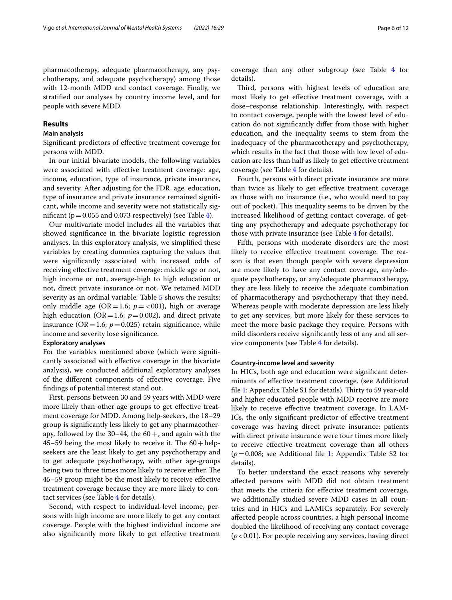pharmacotherapy, adequate pharmacotherapy, any psychotherapy, and adequate psychotherapy) among those with 12-month MDD and contact coverage. Finally, we stratifed our analyses by country income level, and for people with severe MDD.

#### **Results**

#### **Main analysis**

Signifcant predictors of efective treatment coverage for persons with MDD.

In our initial bivariate models, the following variables were associated with efective treatment coverage: age, income, education, type of insurance, private insurance, and severity. After adjusting for the FDR, age, education, type of insurance and private insurance remained signifcant, while income and severity were not statistically significant ( $p = 0.055$  and 0.073 respectively) (see Table [4](#page-6-0)).

Our multivariate model includes all the variables that showed signifcance in the bivariate logistic regression analyses. In this exploratory analysis, we simplifed these variables by creating dummies capturing the values that were signifcantly associated with increased odds of receiving efective treatment coverage: middle age or not, high income or not, average-high to high education or not, direct private insurance or not. We retained MDD severity as an ordinal variable. Table [5](#page-7-0) shows the results: only middle age ( $OR=1.6$ ;  $p = <001$ ), high or average high education (OR=1.6;  $p=0.002$ ), and direct private insurance ( $OR = 1.6$ ;  $p = 0.025$ ) retain significance, while income and severity lose signifcance.

#### **Exploratory analyses**

For the variables mentioned above (which were signifcantly associated with efective coverage in the bivariate analysis), we conducted additional exploratory analyses of the diferent components of efective coverage. Five fndings of potential interest stand out.

First, persons between 30 and 59 years with MDD were more likely than other age groups to get effective treatment coverage for MDD. Among help-seekers, the 18–29 group is signifcantly less likely to get any pharmacotherapy, followed by the 30–44, the  $60+$ , and again with the 45–59 being the most likely to receive it. The  $60 + \text{help}$ seekers are the least likely to get any psychotherapy and to get adequate psychotherapy, with other age-groups being two to three times more likely to receive either. The 45–59 group might be the most likely to receive efective treatment coverage because they are more likely to contact services (see Table [4](#page-6-0) for details).

Second, with respect to individual-level income, persons with high income are more likely to get any contact coverage. People with the highest individual income are also signifcantly more likely to get efective treatment coverage than any other subgroup (see Table [4](#page-6-0) for details).

Third, persons with highest levels of education are most likely to get efective treatment coverage, with a dose–response relationship. Interestingly, with respect to contact coverage, people with the lowest level of education do not signifcantly difer from those with higher education, and the inequality seems to stem from the inadequacy of the pharmacotherapy and psychotherapy, which results in the fact that those with low level of education are less than half as likely to get efective treatment coverage (see Table [4](#page-6-0) for details).

Fourth, persons with direct private insurance are more than twice as likely to get efective treatment coverage as those with no insurance (i.e., who would need to pay out of pocket). This inequality seems to be driven by the increased likelihood of getting contact coverage, of getting any psychotherapy and adequate psychotherapy for those with private insurance (see Table [4](#page-6-0) for details).

Fifth, persons with moderate disorders are the most likely to receive effective treatment coverage. The reason is that even though people with severe depression are more likely to have any contact coverage, any/adequate psychotherapy, or any/adequate pharmacotherapy, they are less likely to receive the adequate combination of pharmacotherapy and psychotherapy that they need. Whereas people with moderate depression are less likely to get any services, but more likely for these services to meet the more basic package they require. Persons with mild disorders receive signifcantly less of any and all service components (see Table [4](#page-6-0) for details).

#### **Country-income level and severity**

In HICs, both age and education were signifcant determinants of efective treatment coverage. (see Additional file  $1$ : Appendix Table S1 for details). Thirty to 59 year-old and higher educated people with MDD receive are more likely to receive efective treatment coverage. In LAM-ICs, the only signifcant predictor of efective treatment coverage was having direct private insurance: patients with direct private insurance were four times more likely to receive efective treatment coverage than all others  $(p=0.008;$  see Additional file [1:](#page-8-0) Appendix Table S2 for details).

To better understand the exact reasons why severely afected persons with MDD did not obtain treatment that meets the criteria for efective treatment coverage, we additionally studied severe MDD cases in all countries and in HICs and LAMICs separately. For severely afected people across countries, a high personal income doubled the likelihood of receiving any contact coverage (*p*<0.01). For people receiving any services, having direct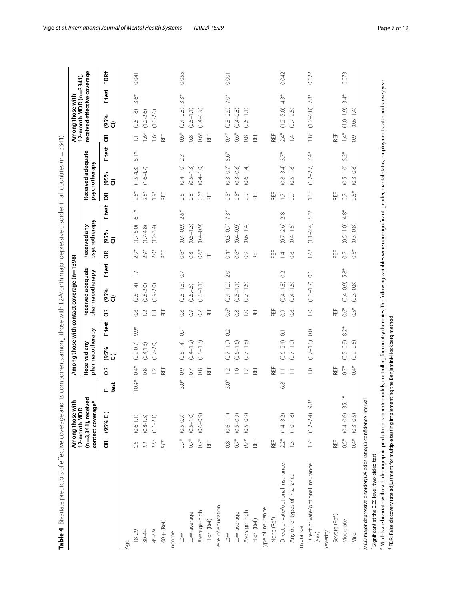|              |                 | £<br>Among those wi                                                     |      |                |                                 |               |                | Among those with contact coverage (n=1398) |               |               |                               |       |               |                                    |               |                | Among those with                                      |            |
|--------------|-----------------|-------------------------------------------------------------------------|------|----------------|---------------------------------|---------------|----------------|--------------------------------------------|---------------|---------------|-------------------------------|-------|---------------|------------------------------------|---------------|----------------|-------------------------------------------------------|------------|
|              |                 | $(n=3,341)$ , received<br>contact coverage <sup>a</sup><br>12-month MDD |      |                | pharmacotherapy<br>Received any |               |                | Received adequate<br>pharmacotherapy       |               |               | psychotherapy<br>Received any |       |               | Received adequate<br>psychotherapy |               |                | received effective coverage<br>12-month MDD (n=3341), |            |
|              |                 | OR (95% CI)                                                             | test | g              | (95%<br>ຣີ                      | Ftest OR (95% |                |                                            | Ftest OR (95% |               | Ξ                             | Ftest |               | OR (95%)                           | Ftest OR (95% |                |                                                       | Ftest FDR+ |
| Age          |                 |                                                                         |      |                |                                 |               |                |                                            |               |               |                               |       |               |                                    |               |                |                                                       |            |
| $18 - 29$    |                 | $0.8$ $(0.6 - 1.1)$                                                     |      |                | $10.4*0.4*$ $(0.2-0.7)$ 9.9*    |               |                | $0.8$ $(0.5-1.4)$ 1.7                      |               |               | $2.9*$ (1.7-5.0) 6.1*         |       |               | $2.6*$ $(1.5-4.3)$ $5.1*$          |               |                | $1.1$ $(0.6-1.8)$ 3.6*                                | 0.041      |
| 30-44        | $\overline{11}$ | $(0.8 - 1.5)$                                                           |      | 0.8            | (0.4, 1.3)                      |               | $\frac{1}{2}$  | $(0.8 - 2.0)$                              |               | $2.9*$        | $(1.7 - 4.8)$                 |       | $2.8*$        | $(1.6 - 4.7)$                      |               | $\frac{16}{5}$ | $(1.0 - 2.6)$                                         |            |
| 45-59        |                 | $(1.1 - 2.1)$<br>$1.5*$                                                 |      | $\frac{1}{2}$  | $(0.7 - 2.0)$                   |               | $\frac{1}{2}$  | $(0.9 - 2.0)$                              |               | $2.0*$        | $(1.2 - 3.4)$                 |       | $1.9*$        |                                    |               | $6*$           | $(1.0 - 2.6)$                                         |            |
| $60 + (Ref)$ | REF             |                                                                         |      | REF            |                                 |               | REF            |                                            |               | REF           |                               |       | REF           |                                    |               | RË⊧            |                                                       |            |
| Income       |                 |                                                                         |      |                |                                 |               |                |                                            |               |               |                               |       |               |                                    |               |                |                                                       |            |
| Low          | $0.7*$          | $(0.5 - 0.9)$                                                           |      | $3.0*0.9$      | $(0.6-1.4)$ 0.7                 |               | $\frac{8}{2}$  | $(0.5 - 1.3)$ 0.7                          |               |               | $0.6*$ $(0.4-0.9)$ $2.8*$     |       | 0.6           | $(0.4 - 1.0)$ 2.3                  |               |                | $0.6*$ $(0.4-0.8)$ 3.3*                               | 0.055      |
| Low-average  | $0.7*$          | $(0.5 - 1.0)$                                                           |      | $\overline{0}$ | $(0.4 - 1.2)$                   |               | 0.0            | $(0.6,-5)$                                 |               | $\frac{8}{2}$ | $(0.5 - 1.3)$                 |       | $\frac{8}{2}$ | $(0.5 - 1.3)$                      |               | 8<br>0.8       | $(0.5 - 1.1)$                                         |            |
| Average-high | $0.7*$          | $(0.6 - 0.9)$                                                           |      | $\frac{8}{2}$  | $(0.5 - 1.3)$                   |               | $\overline{0}$ | $(0.5 - 1.1)$                              |               | $0.6*$        | $(0.4 - 0.9)$                 |       | $0.6*$        | $(0.4 - 1.0)$                      |               | $0.6*$         | $(0.4 - 0.9)$                                         |            |
| High (Ref)   | REF             |                                                                         |      | REF            |                                 |               | REF            |                                            |               | L.            |                               |       | REF           |                                    |               | REF            |                                                       |            |

Level of education

 $Low$ 

<span id="page-6-0"></span>Level of education

Type of insurance

None (Ref)

Type of insurance

Average-high Low-average

High (Ref)

Insurance

Insurance

Direct private/optional insurance

Direct private/optional insurance

(yes)

Severity

Severe (Ref.)

Low 0.8 (0.6–1.1) 3.0\* 1.2 (0.7–1.9) 0.2 0.6\* (0.4–1.0) 2.0 0.4\* *(*0.3–0.7) 7.3\* 0.5\* (0.3–0.7) 5.6\* 0.4\* (0.3–0.6) 7.0\* 0.001

 $0.6*$ 

 $(0.7 - 1.9) 0.2$ 

 $\overline{1}$ .  $\overline{10}$  $1.2 E$ 

 $3.0*$ 

 $(0.6 - 1.1)$ 

 $0.8$ 

 $(0.4 - 1.0)$  2.0

0.001

 $(0.3 - 0.6)$  7.0\*

 $0.4*$  $0.6*$ 

 $(0.3 - 0.7)$  5.6\*

 $7.3*$ 

 $(0.3 - 0.7)$ 

 $(0.3 - 0.8)$  $(0.6 - 1.4)$ 

 $0.5*$  $0.5$ <sup>\*</sup>

 $(0.4 - 0.9)$ 

 $0.6*$  $0.4*$ 

> $(0.5 - 1.1)$  $(0.7 - 1.6)$

> $(0.6 - 1.1)$  $(0.4 - 0.8)$

> > $0.8$ <br>REF

0.9<br>REF

 $(0.6 - 1.4)$ 

0.9<br>REF

Low-average 0.7\* (0.5–0.9) 1.0 (0.6–1.6) 0.8 (0.5–1.1) 0.6\* (0.4–0.9) 0.5\* (0.3–0.8) 0.6\* (0.4–0.8) (1.1-90) 80 (Fi l-90) 6.0 (Fi l-90) 6.0 (9.1-1.0) 0.1 (8.1-1.0) 2.1 (6.0–1.0) \*(2 ) \*(2 )

 $(0.6 - 1.6)$  $(0.7 - 1.8)$ 

 $(0.5 - 0.9)$  $(0.5 - 0.9)$ 

 $0.7*$  $0.7*$ <br>REF

 $\frac{8}{2}$ 

High (Ref ) REF REF REF REF REF REF

 $1.0$ <br>REF

None (Ref ) REF REF REF REF REF REF

REF

REF  $0.8$ 

Direct private/optional insurance 2.2\* (1.4–3.2) 6.8 1.1 (0.6–2.1) 0.1 0.3 0.2 1.4 (0.6–2.1) 0.7–3.2 (1.2–5.4) 3.7\* 2.4\* (1.2–5.4) 3.7\* 0.042

 $(0.6 - 2.1) 0.1$ 

 $\equiv$ 

6.8

 $(1.4 - 3.2)$ 

Direct private/optional insurance

Any other types of insurance

REF

 $(1.0 - 1.8)$ 

 $2.2^{*}$ <br>1.3

 $(0.4 - 1.8)$  0.2

 $0.042$ 

 $2.4*$  (1.2-5.0) 4.3\*<br>1.4 (0.7-2.5)

 $(0.8-3.4)$  3.7\*

 $\overline{1}$ 

2.8

 $(0.7 - 2.6)$ 

 $\frac{4}{9}$  8 REF

REF

 $(0.5 - 1.8)$ 

 $60$ 

 $(0.4 - 1.5)$ 

REF

0.022

 $(1.2 - 2.8)$  7.8\*

 $1.8*$ 

 $(1.2 - 2.7)$  7.4\*

 $1.8*$ 

 $5.3*$ 

 $(1.1 - 2.4)$ 

Any other types of insurance 1.3 (1.0–1.0) 0.8 (1.0–1.0) 0.8 (0.7–1.0) 1.1 (0.1–1.6) 0.8 (0.1–1.6) 0.9 (0.7–1.<br>Any other types of the contract of the contract of the contract of the contract of the contract of the contract

 $(6.7 - 1.9)$ 

 $\Xi$ 

 $(0.4 - 1.5)$ 

1.7\* (1.2–2.4) 9.8\* 1.0 (0.7–1.5) 0.0 1.0 (0.6–1.7) 0.1 1.6\* (1.1–2.4) 5.3\* 1.8\* (1.2–2.7) 7.4\* 1.8\* (1.2–2.8) 7.8\* 0.022

 $\overline{O}$  .

 $(0.6 - 1.7)$ 

 $\overline{1}$ . O

 $0.0$ 

 $(0.7 - 1.5)$ 

 $\supseteq$ 

 $9.8^*$ 

 $(1.2 - 2.4)$ 

 $1.7*$ 

 $1.6*$ 

| í<br>j<br>$\frac{1}{2}$<br>i<br>i<br>j<br>$\ddot{\phantom{a}}$<br>i<br>j<br>í           |
|-----------------------------------------------------------------------------------------|
|                                                                                         |
| ã<br>j                                                                                  |
| ī<br>j<br>ĭ<br>Ì<br>Í                                                                   |
| ׇ֚֘֝֬<br>$\overline{\phantom{a}}$                                                       |
| Ì<br>ļ                                                                                  |
| ׇ֚֬֡<br>ว<br>ว<br>)<br>í<br>í                                                           |
| š,<br>Ξ<br>)<br>Ì<br>I                                                                  |
| i<br>Ś<br>ï<br>Ï<br>ά                                                                   |
| $\frac{1}{6}$<br>5<br>i                                                                 |
| ł<br>j.<br>i                                                                            |
| ׅ֘֒<br>Ę                                                                                |
| Į<br>ĺ                                                                                  |
| í<br>l                                                                                  |
| Z                                                                                       |
| i<br>ï<br>í<br>J                                                                        |
| i<br>١<br>l                                                                             |
| j<br>֖֖֖֖֖֖֖֖֧ׅ֖ׅ֖֚֚֚֚֚֚֚֚֚֚֚֚֚֚֚֚֚֚֚֚֚֚֬֝֝֓֞֡֓֞֡֓֬֝֓֞֬֓֞֓֞֓֡֬֓֞<br>$\mathfrak{g}$<br>j |
| j<br>$\frac{1}{2}$<br>í                                                                 |
| i<br>ć<br>í                                                                             |
| í<br>.<br>د<br>l<br>Ì                                                                   |
| j                                                                                       |
| ١<br>i                                                                                  |
| l<br>ì<br>j                                                                             |
| $\overline{\phantom{a}}$<br>╘                                                           |
| ī<br>J<br>ļ<br>ï<br>ī<br>١                                                              |
| ĺ<br>J<br>l<br>i                                                                        |
| ו<br>3<br>.<br>i                                                                        |
| 5<br>ļ<br>$\leq$<br>l                                                                   |
| $\overline{a}$<br>ׇ֘֝֬֝<br>₫                                                            |
| j<br>j<br>l                                                                             |
| j<br>i<br>i                                                                             |
|                                                                                         |
| ļ<br>ï                                                                                  |
| $\ddot{\phantom{0}}$<br>ť                                                               |
| i<br>i<br>i<br>ì<br>ï<br>1<br>ì                                                         |
| ļ<br>j<br>ڔ<br>Ó                                                                        |
| đ€                                                                                      |
| i<br>5<br>ζ<br>2                                                                        |
| $\ddot{\alpha}$<br>$\bar{c}$<br>ı<br>ł                                                  |
|                                                                                         |

| <i><b>Aoderate</b></i>                                         | 35.1*<br>$0.5*$ $(0.4-0.6)$ | $\tilde{C}$ |                    |        | $(0.5-0.0)$ 8.2* $0.6$ * $(0.40)$ *0.0 $(0.5-0.0)$ 6.0 |        |               |                    | $(0.5-1.0)$ 4.8*<br>$(1.4*$<br>$(1.4*$<br>$(1.6-1.0)$<br>$(0.7-0.0)$<br>$(0.7-0.0)$<br>$(0.7-0.0)$ | 0.073 |
|----------------------------------------------------------------|-----------------------------|-------------|--------------------|--------|--------------------------------------------------------|--------|---------------|--------------------|----------------------------------------------------------------------------------------------------|-------|
| $\frac{1}{2}$                                                  | $0.4*$ (0.3–0.5)            |             | $0.4*$ $(0.2-0.6)$ | $0.5*$ | $(0.3 - 0.8)$                                          | $0.5*$ | $(0.3 - 0.8)$ | $0.5*$ $(0.3-0.8)$ | $(0.6 - 1.4)$<br>0.9                                                                               |       |
| MDD major depressive disorder; OR odds ratio; CI confidence in | interv                      |             |                    |        |                                                        |        |               |                    |                                                                                                    |       |

Severe (Ref.) REF REF REF REF REF REF

REF

REF

REF

"Significant at the 0.05 level, two-sided test \* Signifcant at the 0.05 level, two-sided test MDD major depress

a Models are bivariate with each demographic predictor in separate models, controlling for country dummies. The following variables were non-significant: gender, marital status, employment status and survey year a Models are bivariate with each demographic predictor in separate models, controlling for country dummies. The following variables were non-signifcant: gender, marital status, employment status and survey year <sup>†</sup> FDR: False discovery rate adjustment for multiple testing implementing the Benjamini-Hockberg method † FDR: False discovery rate adjustment for multiple testing implementing the Benjamini-Hockberg method

Vigo *et al. International Journal of Mental Health Systems (2022) 16:29* Page 7 of 12

0.073

REF

REF  $\overline{0}$ 

REF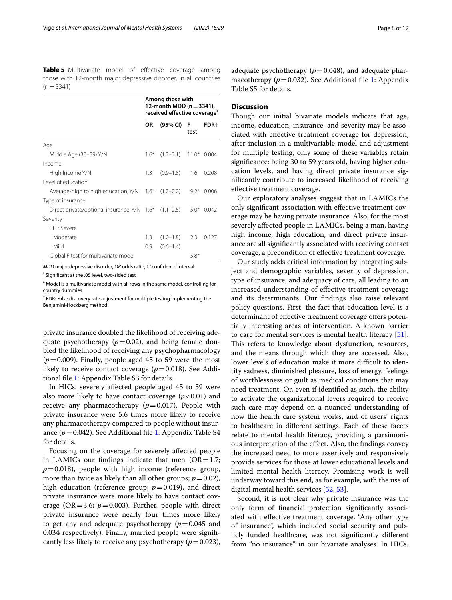<span id="page-7-0"></span>**Table 5** Multivariate model of effective coverage among those with 12-month major depressive disorder, in all countries  $(n=3341)$ 

|                                                           |                  | Among those with<br>12-month MDD ( $n = 3341$ ),<br>received effective coverage <sup>a</sup> |           |             |
|-----------------------------------------------------------|------------------|----------------------------------------------------------------------------------------------|-----------|-------------|
|                                                           | OR               | (95% CI)                                                                                     | F<br>test | <b>FDR+</b> |
| Age                                                       |                  |                                                                                              |           |             |
| Middle Age (30–59) Y/N                                    | $1.6*$           | $(1.2-2.1)$ 11.0*                                                                            |           | 0.004       |
| Income                                                    |                  |                                                                                              |           |             |
| High Income Y/N                                           | 1.3 <sup>2</sup> | $(0.9 - 1.8)$                                                                                | 1.6       | 0.208       |
| Level of education                                        |                  |                                                                                              |           |             |
| Average-high to high education, $Y/N = 1.6*$              |                  | $(1.2 - 2.2)$                                                                                | $9.2*$    | 0.006       |
| Type of insurance                                         |                  |                                                                                              |           |             |
| Direct private/optional insurance, $Y/N$ 1.6* $(1.1-2.5)$ |                  |                                                                                              | $5.0*$    | 0.042       |
| Severity                                                  |                  |                                                                                              |           |             |
| RFF: Severe                                               |                  |                                                                                              |           |             |
| Moderate                                                  | 1.3              | $(1.0 - 1.8)$                                                                                | 2.3       | 0.127       |
| Mild                                                      | 0.9              | $(0.6 - 1.4)$                                                                                |           |             |
| Global F test for multivariate model                      |                  |                                                                                              | $5.8*$    |             |

*MDD* major depressive disorder; *OR* odds ratio; *CI* confdence interval

\* Signifcant at the .05 level, two-sided test

<sup>a</sup> Model is a multivariate model with all rows in the same model, controlling for country dummies

† FDR: False discovery rate adjustment for multiple testing implementing the Benjamini-Hockberg method

private insurance doubled the likelihood of receiving adequate psychotherapy  $(p=0.02)$ , and being female doubled the likelihood of receiving any psychopharmacology  $(p=0.009)$ . Finally, people aged 45 to 59 were the most likely to receive contact coverage  $(p=0.018)$ . See Additional fle [1](#page-8-0): Appendix Table S3 for details.

In HICs, severely afected people aged 45 to 59 were also more likely to have contact coverage  $(p<0.01)$  and receive any pharmacotherapy  $(p=0.017)$ . People with private insurance were 5.6 times more likely to receive any pharmacotherapy compared to people without insurance  $(p=0.042)$ . See Additional file [1:](#page-8-0) Appendix Table S4 for details.

Focusing on the coverage for severely afected people in LAMICs our findings indicate that men  $(OR=1.7;$  $p=0.018$ ), people with high income (reference group, more than twice as likely than all other groups;  $p=0.02$ ), high education (reference group;  $p=0.019$ ), and direct private insurance were more likely to have contact coverage ( $OR = 3.6$ ;  $p = 0.003$ ). Further, people with direct private insurance were nearly four times more likely to get any and adequate psychotherapy  $(p=0.045$  and 0.034 respectively). Finally, married people were signifcantly less likely to receive any psychotherapy  $(p=0.023)$ , adequate psychotherapy  $(p=0.048)$ , and adequate pharmacotherapy ( $p = 0.032$ ). See Additional file [1](#page-8-0): Appendix Table S5 for details.

### **Discussion**

Though our initial bivariate models indicate that age, income, education, insurance, and severity may be associated with efective treatment coverage for depression, after inclusion in a multivariable model and adjustment for multiple testing, only some of these variables retain signifcance: being 30 to 59 years old, having higher education levels, and having direct private insurance signifcantly contribute to increased likelihood of receiving efective treatment coverage.

Our exploratory analyses suggest that in LAMICs the only signifcant association with efective treatment coverage may be having private insurance. Also, for the most severely afected people in LAMICs, being a man, having high income, high education, and direct private insurance are all signifcantly associated with receiving contact coverage, a precondition of efective treatment coverage.

Our study adds critical information by integrating subject and demographic variables, severity of depression, type of insurance, and adequacy of care, all leading to an increased understanding of efective treatment coverage and its determinants. Our fndings also raise relevant policy questions. First, the fact that education level is a determinant of effective treatment coverage offers potentially interesting areas of intervention. A known barrier to care for mental services is mental health literacy [\[51](#page-11-12)]. This refers to knowledge about dysfunction, resources, and the means through which they are accessed. Also, lower levels of education make it more difficult to identify sadness, diminished pleasure, loss of energy, feelings of worthlessness or guilt as medical conditions that may need treatment. Or, even if identifed as such, the ability to activate the organizational levers required to receive such care may depend on a nuanced understanding of how the health care system works, and of users' rights to healthcare in diferent settings. Each of these facets relate to mental health literacy, providing a parsimonious interpretation of the efect. Also, the fndings convey the increased need to more assertively and responsively provide services for those at lower educational levels and limited mental health literacy. Promising work is well underway toward this end, as for example, with the use of digital mental health services [\[52,](#page-11-13) [53](#page-11-14)].

Second, it is not clear why private insurance was the only form of fnancial protection signifcantly associated with efective treatment coverage. "Any other type of insurance", which included social security and publicly funded healthcare, was not signifcantly diferent from "no insurance" in our bivariate analyses. In HICs,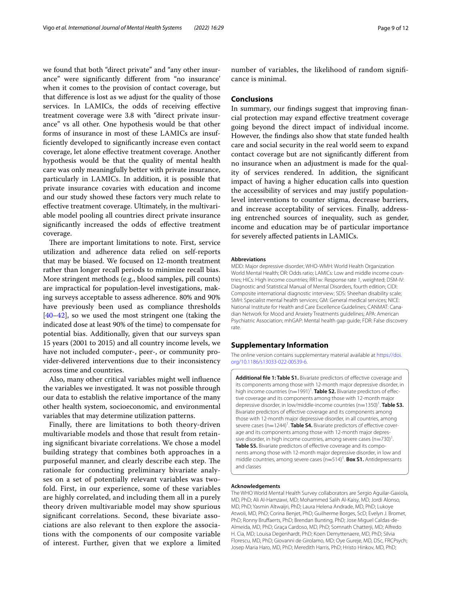we found that both "direct private" and "any other insurance" were signifcantly diferent from "no insurance' when it comes to the provision of contact coverage, but that diference is lost as we adjust for the quality of those services. In LAMICs, the odds of receiving efective treatment coverage were 3.8 with "direct private insurance" vs all other. One hypothesis would be that other forms of insurance in most of these LAMICs are insuffciently developed to signifcantly increase even contact coverage, let alone efective treatment coverage. Another hypothesis would be that the quality of mental health care was only meaningfully better with private insurance, particularly in LAMICs. In addition, it is possible that private insurance covaries with education and income and our study showed these factors very much relate to efective treatment coverage. Ultimately, in the multivariable model pooling all countries direct private insurance signifcantly increased the odds of efective treatment coverage.

There are important limitations to note. First, service utilization and adherence data relied on self-reports that may be biased. We focused on 12-month treatment rather than longer recall periods to minimize recall bias. More stringent methods (e.g., blood samples, pill counts) are impractical for population-level investigations, making surveys acceptable to assess adherence. 80% and 90% have previously been used as compliance thresholds  $[40-42]$  $[40-42]$  $[40-42]$ , so we used the most stringent one (taking the indicated dose at least 90% of the time) to compensate for potential bias. Additionally, given that our surveys span 15 years (2001 to 2015) and all country income levels, we have not included computer-, peer-, or community provider-delivered interventions due to their inconsistency across time and countries.

Also, many other critical variables might well infuence the variables we investigated. It was not possible through our data to establish the relative importance of the many other health system, socioeconomic, and environmental variables that may determine utilization patterns.

Finally, there are limitations to both theory-driven multivariable models and those that result from retaining signifcant bivariate correlations. We chose a model building strategy that combines both approaches in a purposeful manner, and clearly describe each step. The rationale for conducting preliminary bivariate analyses on a set of potentially relevant variables was twofold. First, in our experience, some of these variables are highly correlated, and including them all in a purely theory driven multivariable model may show spurious signifcant correlations. Second, these bivariate associations are also relevant to then explore the associations with the components of our composite variable of interest. Further, given that we explore a limited

number of variables, the likelihood of random signifcance is minimal.

#### **Conclusions**

In summary, our fndings suggest that improving fnancial protection may expand efective treatment coverage going beyond the direct impact of individual income. However, the fndings also show that state funded health care and social security in the real world seem to expand contact coverage but are not signifcantly diferent from no insurance when an adjustment is made for the quality of services rendered. In addition, the signifcant impact of having a higher education calls into question the accessibility of services and may justify populationlevel interventions to counter stigma, decrease barriers, and increase acceptability of services. Finally, addressing entrenched sources of inequality, such as gender, income and education may be of particular importance for severely afected patients in LAMICs.

#### **Abbreviations**

MDD: Major depressive disorder; WHO-WMH: World Health Organization World Mental Health; OR: Odds ratio; LAMICs: Low and middle income countries; HICs: High income countries; RR1w: Response rate 1, weighted; DSM-IV: Diagnostic and Statistical Manual of Mental Disorders, fourth edition; CIDI: Composite international diagnostic interview; SDS: Sheehan disability scale; SMH: Specialist mental health services; GM: General medical services; NICE: National Institute for Health and Care Excellence Guidelines; CANMAT: Cana‑ dian Network for Mood and Anxiety Treatments guidelines; APA: American Psychiatric Association; mhGAP: Mental health gap guide; FDR: False discovery rate.

#### **Supplementary Information**

The online version contains supplementary material available at [https://doi.](https://doi.org/10.1186/s13033-022-00539-6) [org/10.1186/s13033-022-00539-6](https://doi.org/10.1186/s13033-022-00539-6).

<span id="page-8-0"></span>Additional file 1: Table S1. Bivariate predictors of effective coverage and its components among those with 12-month major depressive disorder, in high income countries (n=1991)<sup>1</sup>. **Table S2.** Bivariate predictors of effective coverage and its components among those with 12-month major depressive disorder, in low/middle-income countries (n=1350)<sup>1</sup>. **Table S3.** Bivariate predictors of efective coverage and its components among those with 12-month major depressive disorder, in all countries, among severe cases (n=1244)<sup>1</sup>. **Table S4.** Bivariate predictors of effective coverage and its components among those with 12-month major depressive disorder, in high income countries, among severe cases  $(n=730)^1$ . Table S5. Bivariate predictors of effective coverage and its components among those with 12-month major depressive disorder, in low and middle countries, among severe cases (n=514)<sup>1</sup>. **Box S1.** Antidepressants and classes

#### **Acknowledgements**

The WHO World Mental Health Survey collaborators are Sergio Aguilar-Gaxiola, MD, PhD; Ali Al-Hamzawi, MD; Mohammed Salih Al-Kaisy, MD; Jordi Alonso, MD, PhD; Yasmin Altwaijri, PhD; Laura Helena Andrade, MD, PhD; Lukoye Atwoli, MD, PhD; Corina Benjet, PhD; Guilherme Borges, ScD; Evelyn J. Bromet, PhD; Ronny Brufaerts, PhD; Brendan Bunting, PhD; Jose Miguel Caldas-de-Almeida, MD, PhD; Graça Cardoso, MD, PhD; Somnath Chatterji, MD; Alfredo H. Cia, MD; Louisa Degenhardt, PhD; Koen Demyttenaere, MD, PhD; Silvia Florescu, MD, PhD; Giovanni de Girolamo, MD; Oye Gureje, MD, DSc, FRCPsych; Josep Maria Haro, MD, PhD; Meredith Harris, PhD; Hristo Hinkov, MD, PhD;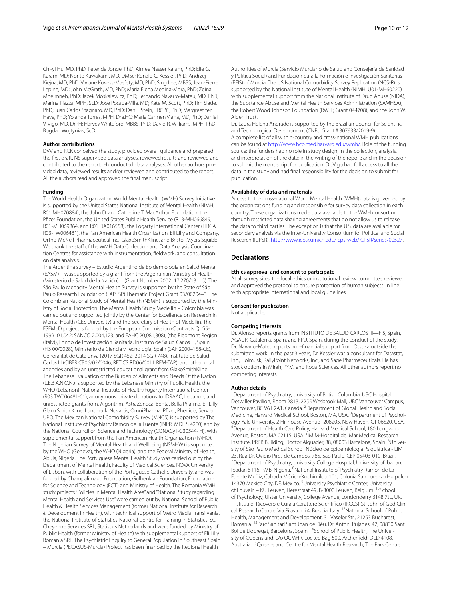Chi-yi Hu, MD, PhD; Peter de Jonge, PhD; Aimee Nasser Karam, PhD; Elie G. Karam, MD; Norito Kawakami, MD, DMSc; Ronald C. Kessler, PhD; Andrzej Kiejna, MD, PhD; Viviane Kovess-Masfety, MD, PhD; Sing Lee, MBBS; Jean-Pierre Lepine, MD; John McGrath, MD, PhD; Maria Elena Medina-Mora, PhD; Zeina Mneimneh, PhD; Jacek Moskalewicz, PhD; Fernando Navarro-Mateu, MD, PhD; Marina Piazza, MPH, ScD; Jose Posada-Villa, MD; Kate M. Scott, PhD; Tim Slade, PhD; Juan Carlos Stagnaro, MD, PhD; Dan J. Stein, FRCPC, PhD; Margreet ten Have, PhD; Yolanda Torres, MPH, Dra.HC; Maria Carmen Viana, MD, PhD; Daniel V. Vigo, MD, DrPH; Harvey Whiteford, MBBS, PhD; David R. Williams, MPH, PhD; Bogdan Wojtyniak, ScD.

#### **Author contributions**

DVV and RCK conceived the study, provided overall guidance and prepared the frst draft. NS supervised data analyses, reviewed results and reviewed and contributed to the report. IH conducted data analyses. All other authors provided data, reviewed results and/or reviewed and contributed to the report. All the authors read and approved the fnal manuscript.

#### **Funding**

The World Health Organization World Mental Health (WMH) Survey Initiative is supported by the United States National Institute of Mental Health (NIMH; R01 MH070884), the John D. and Catherine T. MacArthur Foundation, the Pfzer Foundation, the United States Public Health Service (R13-MH066849, R01-MH069864, and R01 DA016558), the Fogarty International Center (FIRCA R03-TW006481), the Pan American Health Organization, Eli Lilly and Company, Ortho-McNeil Pharmaceutical Inc., GlaxoSmithKline, and Bristol-Myers Squibb. We thank the staff of the WMH Data Collection and Data Analysis Coordination Centres for assistance with instrumentation, feldwork, and consultation on data analysis.

The Argentina survey – Estudio Argentino de Epidemiología en Salud Mental (EASM) – was supported by a grant from the Argentinian Ministry of Health (Ministerio de Salud de la Nación)—(Grant Number 2002–17,270/13−5). The São Paulo Megacity Mental Health Survey is supported by the State of São Paulo Research Foundation (FAPESP) Thematic Project Grant 03/00204–3. The Colombian National Study of Mental Health (NSMH) is supported by the Ministry of Social Protection. The Mental Health Study Medellín – Colombia was carried out and supported jointly by the Center for Excellence on Research in Mental Health (CES University) and the Secretary of Health of Medellín. The ESEMeD project is funded by the European Commission (Contracts QLG5-1999–01,042; SANCO 2,004,123, and EAHC 20,081,308), (the Piedmont Region (Italy)), Fondo de Investigación Sanitaria, Instituto de Salud Carlos III, Spain (FIS 00/0028), Ministerio de Ciencia y Tecnología, Spain (SAF 2000–158-CE), Generalitat de Catalunya (2017 SGR 452; 2014 SGR 748), Instituto de Salud Carlos III (CIBER CB06/02/0046, RETICS RD06/0011 REM-TAP), and other local agencies and by an unrestricted educational grant from GlaxoSmithKline. The Lebanese Evaluation of the Burden of Ailments and Needs Of the Nation (L.E.B.A.N.O.N.) is supported by the Lebanese Ministry of Public Health, the WHO (Lebanon), National Institute of Health/Fogarty International Center (R03 TW006481-01), anonymous private donations to IDRAAC, Lebanon, and unrestricted grants from, Algorithm, AstraZeneca, Benta, Bella Pharma, Eli Lilly, Glaxo Smith Kline, Lundbeck, Novartis, OmniPharma, Pfzer, Phenicia, Servier, UPO. The Mexican National Comorbidity Survey (MNCS) is supported by The National Institute of Psychiatry Ramon de la Fuente (INPRFMDIES 4280) and by the National Council on Science and Technology (CONACyT-G30544- H), with supplemental support from the Pan American Health Organization (PAHO). The Nigerian Survey of Mental Health and Wellbeing (NSMHW) is supported by the WHO (Geneva), the WHO (Nigeria), and the Federal Ministry of Health, Abuja, Nigeria. The Portuguese Mental Health Study was carried out by the Department of Mental Health, Faculty of Medical Sciences, NOVA University of Lisbon, with collaboration of the Portuguese Catholic University, and was funded by Champalimaud Foundation, Gulbenkian Foundation, Foundation for Science and Technology (FCT) and Ministry of Health. The Romania WMH study projects "Policies in Mental Health Area" and "National Study regarding Mental Health and Services Use" were carried out by National School of Public Health & Health Services Management (former National Institute for Research & Development in Health), with technical support of Metro Media Transilvania, the National Institute of Statistics-National Centre for Training in Statistics, SC Cheyenne Services SRL, Statistics Netherlands and were funded by Ministry of Public Health (former Ministry of Health) with supplemental support of Eli Lilly Romania SRL. The Psychiatric Enquiry to General Population in Southeast Spain – Murcia (PEGASUS-Murcia) Project has been fnanced by the Regional Health

Authorities of Murcia (Servicio Murciano de Salud and Consejería de Sanidad y Política Social) and Fundación para la Formación e Investigación Sanitarias (FFIS) of Murcia. The US National Comorbidity Survey Replication (NCS-R) is supported by the National Institute of Mental Health (NIMH; U01-MH60220) with supplemental support from the National Institute of Drug Abuse (NIDA), the Substance Abuse and Mental Health Services Administration (SAMHSA), the Robert Wood Johnson Foundation (RWJF; Grant 044708), and the John W. Alden Trust.

Dr. Laura Helena Andrade is supported by the Brazilian Council for Scientifc and Technological Development (CNPq Grant # 307933/2019-9). A complete list of all within-country and cross-national WMH publications can be found at [http://www.hcp.med.harvard.edu/wmh/.](http://www.hcp.med.harvard.edu/wmh/) Role of the funding source: the funders had no role in study design; in the collection, analysis, and interpretation of the data; in the writing of the report; and in the decision to submit the manuscript for publication. Dr. Vigo had full access to all the data in the study and had fnal responsibility for the decision to submit for publication.

#### **Availability of data and materials**

Access to the cross-national World Mental Health (WMH) data is governed by the organizations funding and responsible for survey data collection in each country. These organizations made data available to the WMH consortium through restricted data sharing agreements that do not allow us to release the data to third parties. The exception is that the U.S. data are available for secondary analysis via the Inter-University Consortium for Political and Social Research (ICPSR), [http://www.icpsr.umich.edu/icpsrweb/ICPSR/series/00527.](http://www.icpsr.umich.edu/icpsrweb/ICPSR/series/00527)

#### **Declarations**

#### **Ethics approval and consent to participate**

At all survey sites, the local ethics or institutional review committee reviewed and approved the protocol to ensure protection of human subjects, in line with appropriate international and local guidelines.

#### **Consent for publication**

Not applicable.

#### **Competing interests**

Dr. Alonso reports grants from INSTITUTO DE SALUD CARLOS iii—FIS, Spain, AGAUR, Catalonia, Spain, and FPU, Spain, during the conduct of the study. Dr. Navarro-Mateu reports non-fnancial support from Otsuka outside the submitted work. In the past 3 years, Dr. Kessler was a consultant for Datastat, Inc., Holmusk, RallyPoint Networks, Inc., and Sage Pharmaceuticals. He has stock options in Mirah, PYM, and Roga Sciences. All other authors report no competing interests.

#### **Author details**

<sup>1</sup> Department of Psychiatry, University of British Columbia, UBC Hospital -Detwiller Pavilion, Room 2813, 2255 Wesbrook Mall, UBC Vancouver Campus, Vancouver, BC V6T 2A1, Canada. <sup>2</sup> Department of Global Health and Social Medicine, Harvard Medical School, Boston, MA, USA. <sup>3</sup> Department of Psychology, Yale University, 2 Hillhouse Avenue‑ 208205, New Haven, CT 06520, USA. 4 Department of Health Care Policy, Harvard Medical School, 180 Longwood Avenue, Boston, MA 02115, USA. <sup>5</sup>IMIM-Hospital del Mar Medical Research Institute, PRBB Building, Doctor Aiguader, 88, 08003 Barcelona, Spain. <sup>6</sup>University of São Paulo Medical School, Núcleo de Epidemiologia Psiquiátrica ‑ LIM 23, Rua Dr. Ovidio Pires de Campos, 785, São Paulo, CEP 05403‑010, Brazil. <sup>7</sup> Department of Psychiatry, University College Hospital, University of Ibadan, Ibadan 5116, PMB, Nigeria. <sup>8</sup> National Institute of Psychiatry Ramón de La Fuente Muñiz, Calzada México‑Xochimilco, 101, Colonia San Lorenzo Huipulco, 14370 Mexico City, DF, Mexico. <sup>9</sup>University Psychiatric Center, University of Louvain – KU Leuven, Herestraat 49, B-3000 Leuven, Belgium. <sup>10</sup>School of Psychology, Ulster University, College Avenue, Londonderry BT48 7JL, UK.<br><sup>11</sup>Istituti di Ricovero e Cura a Carattere Scientifico (IRCCS)-St. John of God Clini‑ cal Research Centre, Via Pilastroni 4, Brescia, Italy. <sup>12</sup>National School of Public Health, Management and Development, 31 Vaselor Str., 21253 Bucharest, Romania. 13Parc Sanitari Sant Joan de Déu, Dr. Antoni Pujades, 42, 08830 Sant Boi de Llobregat, Barcelona, Spain. <sup>14</sup>School of Public Health, The University of Queensland, c/o QCMHR, Locked Bag 500, Archerfeld, QLD 4108, Australia. <sup>15</sup>Queensland Centre for Mental Health Research, The Park Centre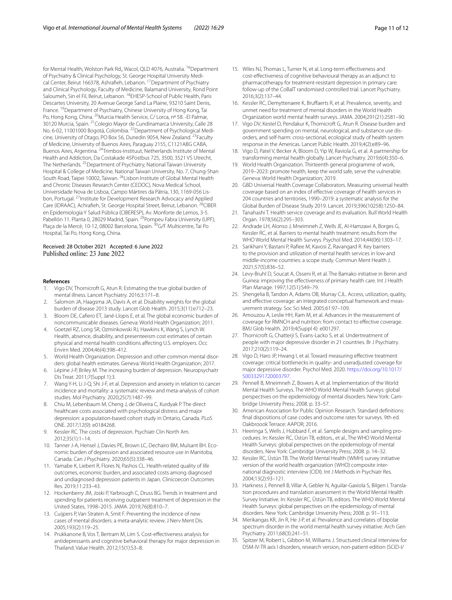for Mental Health, Wolston Park Rd,, Wacol, QLD 4076, Australia. <sup>16</sup>Department of Psychiatry & Clinical Psychology, St. George Hospital University Medical Center, Beirut 166378, Ashrafeh, Lebanon. 17Department of Psychiatry and Clinical Psychology, Faculty of Medicine, Balamand University, Rond Point Saloumeh, Sin el Fil, Beirut, Lebanon. <sup>18</sup>EHESP-School of Public Health, Paris Descartes University, 20 Avenue George Sand La Plaine, 93210 Saint Denis, France. <sup>19</sup> Department of Psychiatry, Chinese University of Hong Kong, Tai Po, Hong Kong, China. <sup>20</sup> Murcia Health Service, C/ Lorca, nº 58. - El Palmar, 30120 Murcia, Spain. 21Colegio Mayor de Cundinamarca University, Calle 28 No. 6-02, 11001000 Bogotá, Colombia. <sup>22</sup> Department of Psychological Medicine, University of Otago, PO Box 56, Dunedin 9054, New Zealand. <sup>23</sup> Faculty of Medicine, University of Buenos Aires, Paraguay 2155, C1121ABG CABA, Buenos Aires, Argentina. 24Trimbos‑Instituut, Netherlands Institute of Mental Health and Addiction, Da Costakade 45Postbus 725, 3500, 3521 VS Utrecht, The Netherlands. <sup>25</sup> Department of Psychiatry, National Taiwan University Hospital & College of Medicine, National Taiwan University, No. 7, Chung-Shan South Road, Taipei 10002, Taiwan. 26Lisbon Institute of Global Mental Health and Chronic Diseases Research Center (CEDOC), Nova Medical School, Universidade Nova de Lisboa, Campo Mártires da Pátria, 130, 1169‑056 Lis‑ bon, Portugal. <sup>27</sup>Institute for Development Research Advocacy and Applied Care (IDRAAC), Achrafieh, St. George Hospital Street, Beirut, Lebanon.<sup>28</sup>CIBER en Epidemiología Y Salud Pública (CIBERESP), Av. Monforte de Lemos, 3‑5. Pabellón 11. Planta 0, 28029 Madrid, Spain. <sup>29</sup> Pompeu Fabra University (UPF), Plaça de la Mercè, 10-12, 08002 Barcelona, Spain. <sup>30</sup>G/F Multicentre, Tai Po Hospital, Tai Po, Hong Kong, China.

#### Received: 28 October 2021 Accepted: 6 June 2022 Published online: 23 June 2022

#### **References**

- <span id="page-10-0"></span>1. Vigo DV, Thornicroft G, Atun R. Estimating the true global burden of mental illness. Lancet Psychiatry. 2016;3:171–8.
- <span id="page-10-1"></span>2. Salomon JA, Haagsma JA, Davis A, et al. Disability weights for the global burden of disease 2013 study. Lancet Glob Health. 2015;3(11):e712–23.
- <span id="page-10-2"></span>3. Bloom DE, Cafero ET, Jané-Llopis E, et al. The global economic burden of noncommunicable diseases. Geneva: World Health Organization; 2011.
- <span id="page-10-3"></span>4. Goetzel RZ, Long SR, Ozminkowski RJ, Hawkins K, Wang S, Lynch W. Health, absence, disability, and presenteeism cost estimates of certain physical and mental health conditions afecting U.S. employers. Occ Envirn Med. 2004;46(4):398–412.
- <span id="page-10-4"></span>5. World Health Organization. Depression and other common mental disorders: global health estimates. Geneva: World Health Organization; 2017.
- <span id="page-10-5"></span>6. Lépine J-P, Briley M. The increasing burden of depression. Neuropsychaitr Dis Treat. 2011;7(Suppl 1):3.
- <span id="page-10-6"></span>7. Wang Y-H, Li J-Q, Shi J-F, et al. Depression and anxiety in relation to cancer incidence and mortality: a systematic review and meta-analysis of cohort studies. Mol Psychiatry. 2020;25(7):1487–99.
- <span id="page-10-7"></span>8. Chiu M, Lebenbaum M, Cheng J, de Oliveira C, Kurdyak P. The direct healthcare costs associated with psychological distress and major depression: a population-based cohort study in Ontario, Canada. PLoS ONE. 2017;12(9): e0184268.
- 9. Kessler RC. The costs of depression. Psychiatr Clin North Am. 2012;35(1):1–14.
- 10. Tanner J-A, Hensel J, Davies PE, Brown LC, Dechairo BM, Mulsant BH. Economic burden of depression and associated resource use in Manitoba, Canada. Can J Psychiatry. 2020;65(5):338–46.
- 11. Yamabe K, Liebert R, Flores N, Pashos CL. Health-related quality of life outcomes, economic burden, and associated costs among diagnosed and undiagnosed depression patients in Japan. Clinicoecon Outcomes Res. 2019;11:233–43.
- <span id="page-10-8"></span>12. Hockenberry JM, Joski P, Yarbrough C, Druss BG. Trends in treatment and spending for patients receiving outpatient treatment of depression in the United States, 1998–2015. JAMA. 2019;76(8):810–7.
- <span id="page-10-9"></span>13. Cuijpers P, Van Straten A, Smit F. Preventing the incidence of new cases of mental disorders: a meta-analytic review. J Nerv Ment Dis. 2005;193(2):119–25.
- 14. Prukkanone B, Vos T, Bertram M, Lim S. Cost-efectiveness analysis for antidepressants and cognitive behavioral therapy for major depression in Thailand. Value Health. 2012;15(1):S3–8.
- <span id="page-10-10"></span>15. Wiles NJ, Thomas L, Turner N, et al. Long-term efectiveness and cost-efectiveness of cognitive behavioural therapy as an adjunct to pharmacotherapy for treatment-resistant depression in primary care: follow-up of the CoBalT randomised controlled trial. Lancet Psychiatry. 2016;3(2):137–44.
- <span id="page-10-11"></span>16. Kessler RC, Demyttenaere K, Bruffaerts R, et al. Prevalence, severity, and unmet need for treatment of mental disorders in the World Health Organization world mental health surveys. JAMA. 2004;291(21):2581–90.
- 17. Vigo DV, Kestel D, Pendakur K, Thornicroft G, Atun R. Disease burden and government spending on mental, neurological, and substance use disorders, and self-harm: cross-sectional, ecological study of health system response in the Americas. Lancet Public Health. 2019;4(2):e89–96.
- <span id="page-10-15"></span>18. Vigo D, Patel V, Becker A, Bloom D, Yip W, Raviola G, et al. A partnership for transforming mental health globally. Lancet Psychiatry. 2019;6(4):350–6.
- 19. World Health Organization. Thirteenth general programme of work, 2019–2023: promote health, keep the world safe, serve the vulnerable. Geneva: World Health Organization; 2019.
- <span id="page-10-16"></span>20. GBD Universal Health Coverage Collaborators. Measuring universal health coverage based on an index of efective coverage of health services in 204 countries and territories, 1990–2019: a systematic analysis for the Global Burden of Disease Study 2019. Lancet. 2019;396(10258):1250–84.
- <span id="page-10-12"></span>21. Tanahashi T. Health service coverage and its evaluation. Bull World Health Organ. 1978;56(2):295–303.
- <span id="page-10-13"></span>22. Andrade LH, Alonso J, Mneimneh Z, Wells JE, Al-Hamzawi A, Borges G, Kessler RC, et al. Barriers to mental health treatment: results from the WHO World Mental Health Surveys. Psychol Med. 2014;44(06):1303–17.
- <span id="page-10-14"></span>23. Sarikhani Y, Bastani P, Rafee M, Kavosi Z, Ravangard R. Key barriers to the provision and utilization of mental health services in low-and middle-income countries: a scope study. Commun Ment Health J. 2021;57(5):836–52.
- <span id="page-10-17"></span>24. Levy-Bruhl D, Soucat A, Osseni R, et al. The Bamako initiative in Benin and Guinea: improving the efectiveness of primary health care. Int J Health Plan Manage. 1997;12(S1):S49–79.
- 25. Shengelia B, Tandon A, Adams OB, Murray CJL. Access, utilization, quality, and effective coverage: an integrated conceptual framework and measurement strategy. Soc Sci Med. 2005;61:97–109.
- <span id="page-10-18"></span>26. Amouzou A, Leslie HH, Ram M, et al. Advances in the measurement of coverage for RMNCH and nutrition: from contact to efective coverage. BMJ Glob Health. 2019;4(Suppl 4): e001297.
- <span id="page-10-19"></span>27. Thornicroft G, Chatterji S, Evans-Lacko S, et al. Undertreatment of people with major depressive disorder in 21 countries. Br J Psychiatry. 2017;210(2):119–24.
- <span id="page-10-20"></span>28. Vigo D, Haro JP, Hwang I, et al. Toward measuring effective treatment coverage: critical bottlenecks in quality- and useradjusted coverage for major depressive disorder. Psychol Med. 2020. [https://doi.org/10.1017/](https://doi.org/10.1017/S0033291720003797) [S0033291720003797.](https://doi.org/10.1017/S0033291720003797)
- <span id="page-10-21"></span>29. Pennell B, Mneimneh Z, Bowers A, et al. Implementation of the World Mental Health Surveys. The WHO World Mental Health Surveys: global perspectives on the epidemiology of mental disorders. New York: Cambridge University Press; 2008. p. 33–57.
- <span id="page-10-22"></span>30. American Association for Public Opinion Research. Standard defnitions: fnal dispositions of case codes and outcome rates for surveys. 9th ed. Oakbroook Terrace: AAPOR; 2016.
- <span id="page-10-23"></span>31. Heeringa S, Wells J, Hubbard F, et al. Sample designs and sampling procedures. In: Kessler RC, Üstün TB, editors., et al., The WHO World Mental Health Surveys: global perspectives on the epidemiology of mental disorders. New York: Cambridge University Press; 2008. p. 14–32.
- <span id="page-10-24"></span>32. Kessler RC, Üstün TB. The World Mental Health (WMH) survey initiative version of the world health organization (WHO) composite international diagnostic interview (CIDI). Int J Methods in Psychiatr Res. 2004;13(2):93–121.
- <span id="page-10-25"></span>33. Harkness J, Pennell B, Villar A, Gebler N, Aguilar-Gaxiola S, Bilgen I. Translation procedures and translation assessment in the World Mental Health Survey Initiative. In: Kessler RC, Üstün TB, editors. The WHO World Mental Health Surveys: global perspectives on the epidemiology of mental disorders. New York: Cambridge University Press; 2008. p. 91–113.
- <span id="page-10-26"></span>34. Merikangas KR, Jin R, He J-P, et al. Prevalence and correlates of bipolar spectrum disorder in the world mental health survey initiative. Arch Gen Psychiatry. 2011;68(3):241–51.
- <span id="page-10-27"></span>35. Spitzer M, Robert L, Gibbon M, Williams J. Structured clinical interview for DSM-IV-TR axis I disorders, research version, non-patient edition (SCID-I/